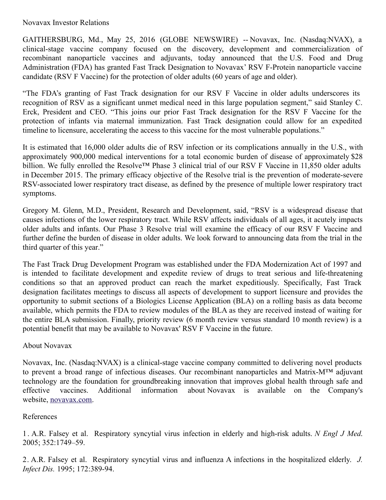## Novavax Investor Relations

GAITHERSBURG, Md., May 25, 2016 (GLOBE NEWSWIRE) -- Novavax, Inc. (Nasdaq:NVAX), a clinical-stage vaccine company focused on the discovery, development and commercialization of recombinant nanoparticle vaccines and adjuvants, today announced that the U.S. Food and Drug Administration (FDA) has granted Fast Track Designation to Novavax' RSV F-Protein nanoparticle vaccine candidate (RSV F Vaccine) for the protection of older adults (60 years of age and older).

"The FDA's granting of Fast Track designation for our RSV F Vaccine in older adults underscores its recognition of RSV as a significant unmet medical need in this large population segment," said Stanley C. Erck, President and CEO. "This joins our prior Fast Track designation for the RSV F Vaccine for the protection of infants via maternal immunization. Fast Track designation could allow for an expedited timeline to licensure, accelerating the access to this vaccine for the most vulnerable populations."

It is estimated that 16,000 older adults die of RSV infection or its complications annually in the U.S., with approximately 900,000 medical interventions for a total economic burden of disease of approximately \$28 billion. We fully enrolled the Resolve™ Phase 3 clinical trial of our RSV F Vaccine in 11,850 older adults in December 2015. The primary efficacy objective of the Resolve trial is the prevention of moderate-severe RSV-associated lower respiratory tract disease, as defined by the presence of multiple lower respiratory tract symptoms.

Gregory M. Glenn, M.D., President, Research and Development, said, "RSV is a widespread disease that causes infections of the lower respiratory tract. While RSV affects individuals of all ages, it acutely impacts older adults and infants. Our Phase 3 Resolve trial will examine the efficacy of our RSV F Vaccine and further define the burden of disease in older adults. We look forward to announcing data from the trial in the third quarter of this year."

The Fast Track Drug Development Program was established under the FDA Modernization Act of 1997 and is intended to facilitate development and expedite review of drugs to treat serious and life-threatening conditions so that an approved product can reach the market expeditiously. Specifically, Fast Track designation facilitates meetings to discuss all aspects of development to support licensure and provides the opportunity to submit sections of a Biologics License Application (BLA) on a rolling basis as data become available, which permits the FDA to review modules of the BLA as they are received instead of waiting for the entire BLA submission. Finally, priority review (6 month review versus standard 10 month review) is a potential benefit that may be available to Novavax' RSV F Vaccine in the future.

## About Novavax

Novavax, Inc. (Nasdaq:NVAX) is a clinical-stage vaccine company committed to delivering novel products to prevent a broad range of infectious diseases. Our recombinant nanoparticles and Matrix-M™ adjuvant technology are the foundation for groundbreaking innovation that improves global health through safe and effective vaccines. Additional information about Novavax is available on the Company's website, [novavax.com](http://www.globenewswire.com/Tracker?data=OjS1O1PIxa5uXtzzi-YjogTgshdXcj54Vy5Br9uKV8iQa6d59saxoCJYygd20iFvDub3B2j8bQqcMfwt8PZVGw==).

## References

1 . A.R. Falsey et al. Respiratory syncytial virus infection in elderly and high-risk adults. *N Engl J Med*. 2005; 352:1749–59.

2. A.R. Falsey et al. Respiratory syncytial virus and influenza A infections in the hospitalized elderly. *J. Infect Dis.* 1995; 172:389-94.